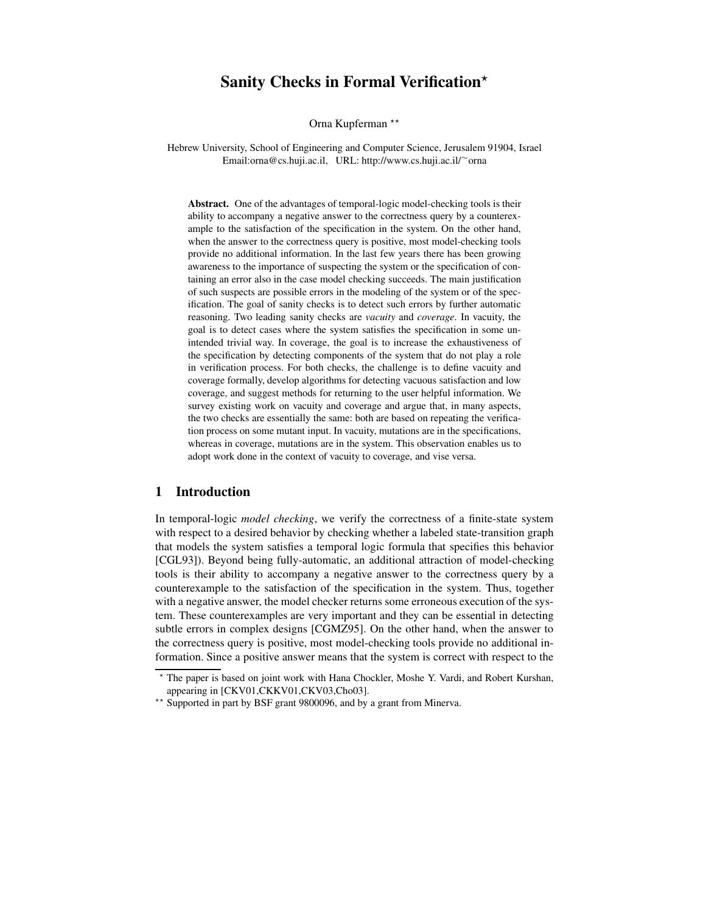# **Sanity Checks in Formal Verification**?

Orna Kupferman \*\*

Hebrew University, School of Engineering and Computer Science, Jerusalem 91904, Israel Email:orna@cs.huji.ac.il, URL: http://www.cs.huji.ac.il/<sup>∼</sup>orna

**Abstract.** One of the advantages of temporal-logic model-checking tools is their ability to accompany a negative answer to the correctness query by a counterexample to the satisfaction of the specification in the system. On the other hand, when the answer to the correctness query is positive, most model-checking tools provide no additional information. In the last few years there has been growing awareness to the importance of suspecting the system or the specification of containing an error also in the case model checking succeeds. The main justification of such suspects are possible errors in the modeling of the system or of the specification. The goal of sanity checks is to detect such errors by further automatic reasoning. Two leading sanity checks are *vacuity* and *coverage*. In vacuity, the goal is to detect cases where the system satisfies the specification in some unintended trivial way. In coverage, the goal is to increase the exhaustiveness of the specification by detecting components of the system that do not play a role in verification process. For both checks, the challenge is to define vacuity and coverage formally, develop algorithms for detecting vacuous satisfaction and low coverage, and suggest methods for returning to the user helpful information. We survey existing work on vacuity and coverage and argue that, in many aspects, the two checks are essentially the same: both are based on repeating the verification process on some mutant input. In vacuity, mutations are in the specifications, whereas in coverage, mutations are in the system. This observation enables us to adopt work done in the context of vacuity to coverage, and vise versa.

### **1 Introduction**

In temporal-logic *model checking*, we verify the correctness of a finite-state system with respect to a desired behavior by checking whether a labeled state-transition graph that models the system satisfies a temporal logic formula that specifies this behavior [CGL93]). Beyond being fully-automatic, an additional attraction of model-checking tools is their ability to accompany a negative answer to the correctness query by a counterexample to the satisfaction of the specification in the system. Thus, together with a negative answer, the model checker returns some erroneous execution of the system. These counterexamples are very important and they can be essential in detecting subtle errors in complex designs [CGMZ95]. On the other hand, when the answer to the correctness query is positive, most model-checking tools provide no additional information. Since a positive answer means that the system is correct with respect to the

<sup>?</sup> The paper is based on joint work with Hana Chockler, Moshe Y. Vardi, and Robert Kurshan, appearing in [CKV01,CKKV01,CKV03,Cho03].

<sup>\*\*</sup> Supported in part by BSF grant 9800096, and by a grant from Minerva.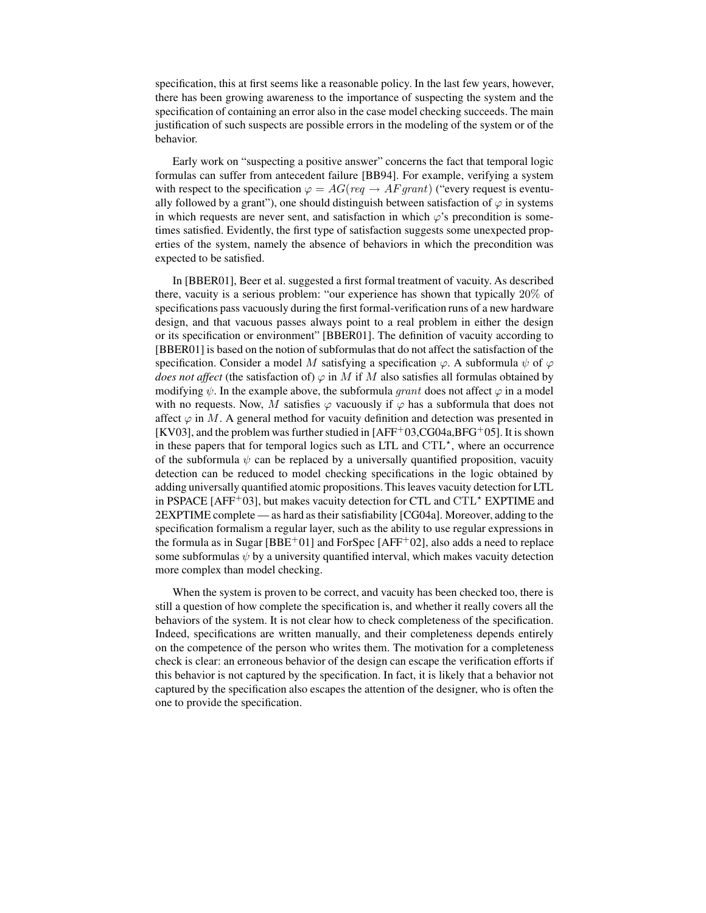specification, this at first seems like a reasonable policy. In the last few years, however, there has been growing awareness to the importance of suspecting the system and the specification of containing an error also in the case model checking succeeds. The main justification of such suspects are possible errors in the modeling of the system or of the behavior.

Early work on "suspecting a positive answer" concerns the fact that temporal logic formulas can suffer from antecedent failure [BB94]. For example, verifying a system with respect to the specification  $\varphi = AG (req \rightarrow AF grant)$  ("every request is eventually followed by a grant"), one should distinguish between satisfaction of  $\varphi$  in systems in which requests are never sent, and satisfaction in which  $\varphi$ 's precondition is sometimes satisfied. Evidently, the first type of satisfaction suggests some unexpected properties of the system, namely the absence of behaviors in which the precondition was expected to be satisfied.

In [BBER01], Beer et al. suggested a first formal treatment of vacuity. As described there, vacuity is a serious problem: "our experience has shown that typically 20% of specifications pass vacuously during the first formal-verification runs of a new hardware design, and that vacuous passes always point to a real problem in either the design or its specification or environment" [BBER01]. The definition of vacuity according to [BBER01] is based on the notion of subformulasthat do not affect the satisfaction of the specification. Consider a model M satisfying a specification  $\varphi$ . A subformula  $\psi$  of  $\varphi$ *does not affect* (the satisfaction of)  $\varphi$  in M if M also satisfies all formulas obtained by modifying  $\psi$ . In the example above, the subformula *grant* does not affect  $\varphi$  in a model with no requests. Now, M satisfies  $\varphi$  vacuously if  $\varphi$  has a subformula that does not affect  $\varphi$  in M. A general method for vacuity definition and detection was presented in [KV03], and the problem was further studied in  $[AFF+03, CG04a,BFG+05]$ . It is shown in these papers that for temporal logics such as LTL and  $\text{CTL}^*$ , where an occurrence of the subformula  $\psi$  can be replaced by a universally quantified proposition, vacuity detection can be reduced to model checking specifications in the logic obtained by adding universally quantified atomic propositions. This leaves vacuity detection for LTL in PSPACE [AFF<sup>+</sup>03], but makes vacuity detection for CTL and CTL<sup>\*</sup> EXPTIME and 2EXPTIME complete — as hard as their satisfiability [CG04a]. Moreover, adding to the specification formalism a regular layer, such as the ability to use regular expressions in the formula as in Sugar [BBE<sup>+</sup>01] and ForSpec [AFF<sup>+</sup>02], also adds a need to replace some subformulas  $\psi$  by a university quantified interval, which makes vacuity detection more complex than model checking.

When the system is proven to be correct, and vacuity has been checked too, there is still a question of how complete the specification is, and whether it really covers all the behaviors of the system. It is not clear how to check completeness of the specification. Indeed, specifications are written manually, and their completeness depends entirely on the competence of the person who writes them. The motivation for a completeness check is clear: an erroneous behavior of the design can escape the verification efforts if this behavior is not captured by the specification. In fact, it is likely that a behavior not captured by the specification also escapes the attention of the designer, who is often the one to provide the specification.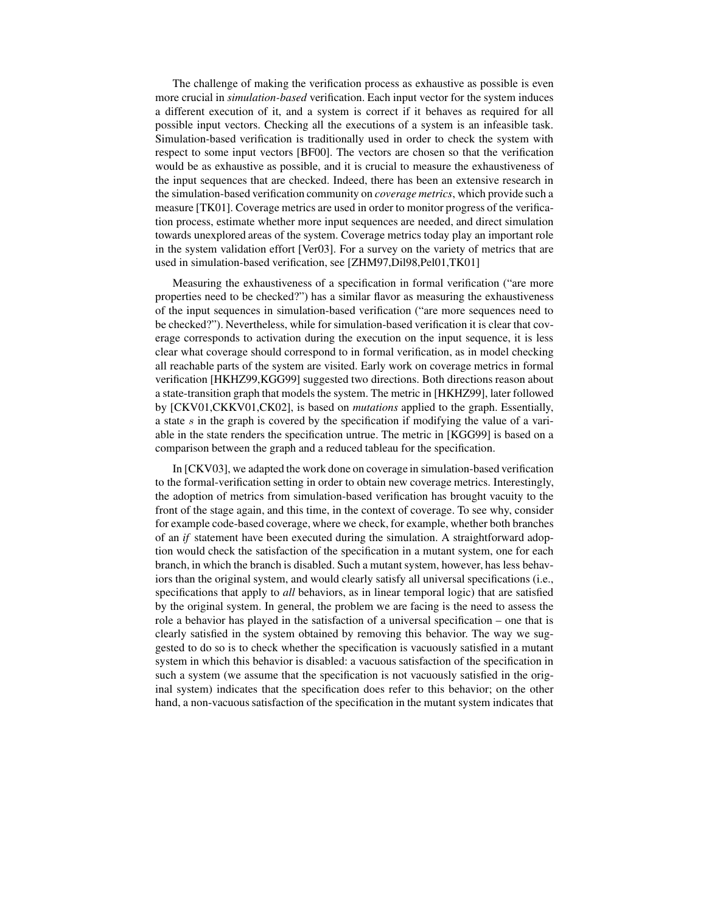The challenge of making the verification process as exhaustive as possible is even more crucial in *simulation-based* verification. Each input vector for the system induces a different execution of it, and a system is correct if it behaves as required for all possible input vectors. Checking all the executions of a system is an infeasible task. Simulation-based verification is traditionally used in order to check the system with respect to some input vectors [BF00]. The vectors are chosen so that the verification would be as exhaustive as possible, and it is crucial to measure the exhaustiveness of the input sequences that are checked. Indeed, there has been an extensive research in the simulation-based verification community on *coverage metrics*, which provide such a measure [TK01]. Coverage metrics are used in order to monitor progress of the verification process, estimate whether more input sequences are needed, and direct simulation towards unexplored areas of the system. Coverage metrics today play an important role in the system validation effort [Ver03]. For a survey on the variety of metrics that are used in simulation-based verification, see [ZHM97,Dil98,Pel01,TK01]

Measuring the exhaustiveness of a specification in formal verification ("are more properties need to be checked?") has a similar flavor as measuring the exhaustiveness of the input sequences in simulation-based verification ("are more sequences need to be checked?"). Nevertheless, while for simulation-based verification it is clear that coverage corresponds to activation during the execution on the input sequence, it is less clear what coverage should correspond to in formal verification, as in model checking all reachable parts of the system are visited. Early work on coverage metrics in formal verification [HKHZ99,KGG99] suggested two directions. Both directions reason about a state-transition graph that models the system. The metric in [HKHZ99], later followed by [CKV01,CKKV01,CK02], is based on *mutations* applied to the graph. Essentially, a state s in the graph is covered by the specification if modifying the value of a variable in the state renders the specification untrue. The metric in [KGG99] is based on a comparison between the graph and a reduced tableau for the specification.

In [CKV03], we adapted the work done on coverage in simulation-based verification to the formal-verification setting in order to obtain new coverage metrics. Interestingly, the adoption of metrics from simulation-based verification has brought vacuity to the front of the stage again, and this time, in the context of coverage. To see why, consider for example code-based coverage, where we check, for example, whether both branches of an *if* statement have been executed during the simulation. A straightforward adoption would check the satisfaction of the specification in a mutant system, one for each branch, in which the branch is disabled. Such a mutant system, however, has less behaviors than the original system, and would clearly satisfy all universal specifications (i.e., specifications that apply to *all* behaviors, as in linear temporal logic) that are satisfied by the original system. In general, the problem we are facing is the need to assess the role a behavior has played in the satisfaction of a universal specification – one that is clearly satisfied in the system obtained by removing this behavior. The way we suggested to do so is to check whether the specification is vacuously satisfied in a mutant system in which this behavior is disabled: a vacuous satisfaction of the specification in such a system (we assume that the specification is not vacuously satisfied in the original system) indicates that the specification does refer to this behavior; on the other hand, a non-vacuous satisfaction of the specification in the mutant system indicates that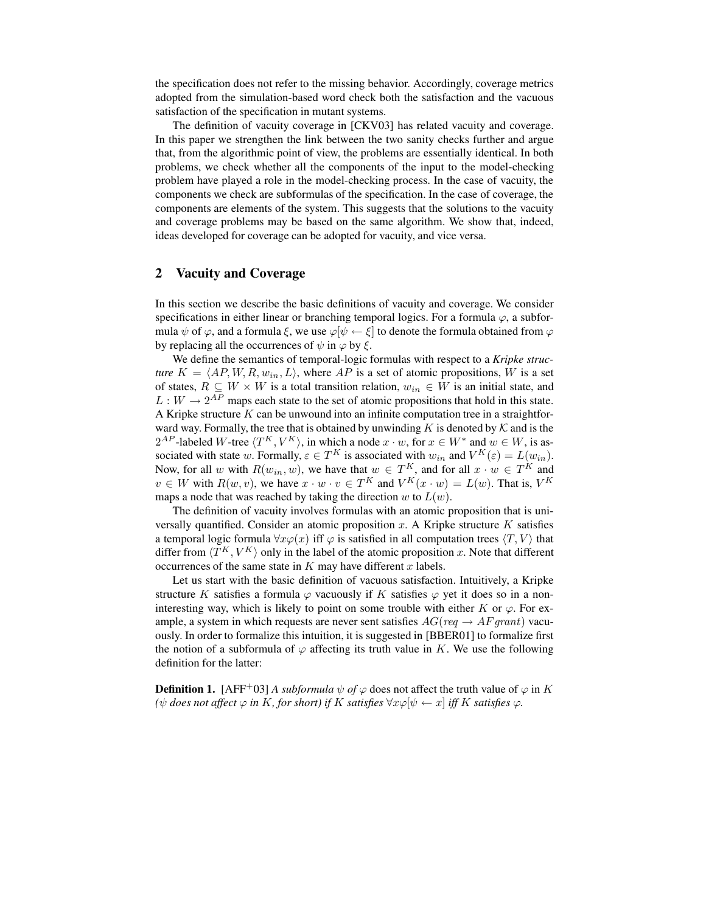the specification does not refer to the missing behavior. Accordingly, coverage metrics adopted from the simulation-based word check both the satisfaction and the vacuous satisfaction of the specification in mutant systems.

The definition of vacuity coverage in [CKV03] has related vacuity and coverage. In this paper we strengthen the link between the two sanity checks further and argue that, from the algorithmic point of view, the problems are essentially identical. In both problems, we check whether all the components of the input to the model-checking problem have played a role in the model-checking process. In the case of vacuity, the components we check are subformulas of the specification. In the case of coverage, the components are elements of the system. This suggests that the solutions to the vacuity and coverage problems may be based on the same algorithm. We show that, indeed, ideas developed for coverage can be adopted for vacuity, and vice versa.

### **2 Vacuity and Coverage**

In this section we describe the basic definitions of vacuity and coverage. We consider specifications in either linear or branching temporal logics. For a formula  $\varphi$ , a subformula  $\psi$  of  $\varphi$ , and a formula  $\xi$ , we use  $\varphi[\psi \leftarrow \xi]$  to denote the formula obtained from  $\varphi$ by replacing all the occurrences of  $\psi$  in  $\varphi$  by  $\xi$ .

We define the semantics of temporal-logic formulas with respect to a *Kripke structure*  $K = \langle AP, W, R, w_{in}, L \rangle$ , where AP is a set of atomic propositions, W is a set of states,  $R \subseteq W \times W$  is a total transition relation,  $w_{in} \in W$  is an initial state, and  $L: W \to 2^{AP}$  maps each state to the set of atomic propositions that hold in this state. A Kripke structure  $K$  can be unwound into an infinite computation tree in a straightforward way. Formally, the tree that is obtained by unwinding K is denoted by  $K$  and is the  $2^{AP}$ -labeled W-tree  $\langle T^K, V^K \rangle$ , in which a node  $x \cdot w$ , for  $x \in W^*$  and  $w \in W$ , is associated with state w. Formally,  $\varepsilon \in T^K$  is associated with  $w_{in}$  and  $V^K(\varepsilon) = L(w_{in})$ . Now, for all w with  $R(w_{in}, w)$ , we have that  $w \in T^K$ , and for all  $x \cdot w \in T^K$  and  $v \in W$  with  $R(w, v)$ , we have  $x \cdot w \cdot v \in T^K$  and  $V^K(x \cdot w) = L(w)$ . That is,  $V^K$ maps a node that was reached by taking the direction  $w$  to  $L(w)$ .

The definition of vacuity involves formulas with an atomic proposition that is universally quantified. Consider an atomic proposition  $x$ . A Kripke structure  $K$  satisfies a temporal logic formula  $\forall x \varphi(x)$  iff  $\varphi$  is satisfied in all computation trees  $\langle T, V \rangle$  that differ from  $\langle T^K, V^K \rangle$  only in the label of the atomic proposition x. Note that different occurrences of the same state in  $K$  may have different  $x$  labels.

Let us start with the basic definition of vacuous satisfaction. Intuitively, a Kripke structure K satisfies a formula  $\varphi$  vacuously if K satisfies  $\varphi$  yet it does so in a noninteresting way, which is likely to point on some trouble with either K or  $\varphi$ . For example, a system in which requests are never sent satisfies  $AG(req \rightarrow AFgrant)$  vacuously. In order to formalize this intuition, it is suggested in [BBER01] to formalize first the notion of a subformula of  $\varphi$  affecting its truth value in K. We use the following definition for the latter:

**Definition 1.** [AFF<sup>+</sup>03] *A subformula*  $\psi$  *of*  $\varphi$  does not affect the truth value of  $\varphi$  in K  $(\psi \text{ does not affect } \varphi \text{ in } K, \text{ for short})$  *if* K satisfies  $\forall x \varphi[\psi \leftarrow x]$  *iff* K satisfies  $\varphi$ .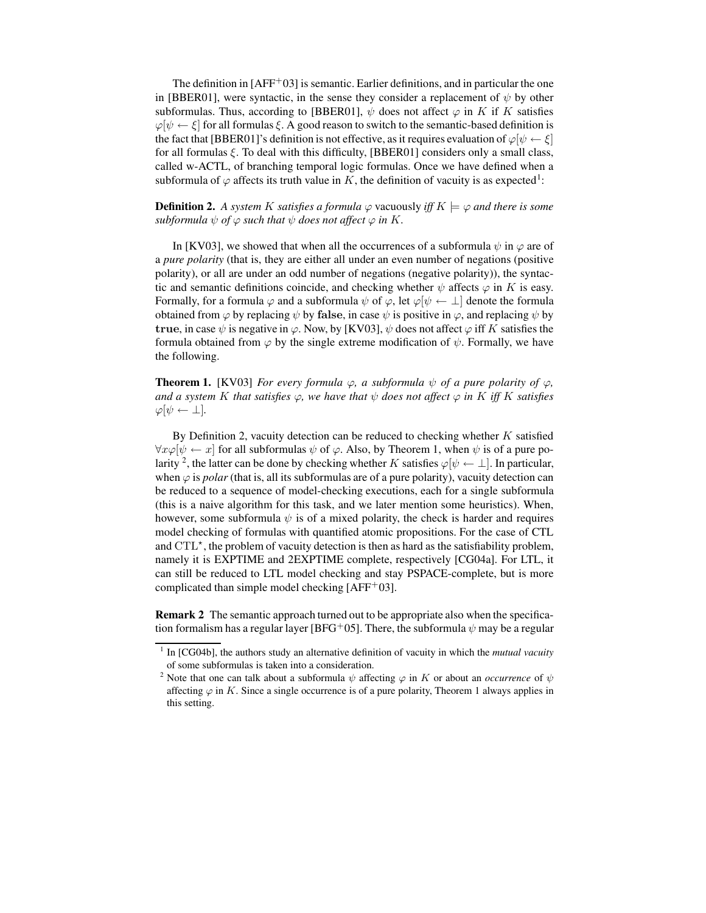The definition in  $[AFF<sup>+</sup>03]$  is semantic. Earlier definitions, and in particular the one in [BBER01], were syntactic, in the sense they consider a replacement of  $\psi$  by other subformulas. Thus, according to [BBER01],  $\psi$  does not affect  $\varphi$  in K if K satisfies  $\varphi[\psi \leftarrow \xi]$  for all formulas  $\xi$ . A good reason to switch to the semantic-based definition is the fact that [BBER01]'s definition is not effective, as it requires evaluation of  $\varphi[\psi \leftarrow \xi]$ for all formulas  $\xi$ . To deal with this difficulty, [BBER01] considers only a small class, called w-ACTL, of branching temporal logic formulas. Once we have defined when a subformula of  $\varphi$  affects its truth value in K, the definition of vacuity is as expected<sup>1</sup>:

**Definition 2.** *A system K satisfies a formula*  $\varphi$  vacuously *iff*  $K \models \varphi$  *and there is some subformula*  $\psi$  *of*  $\varphi$  *such that*  $\psi$  *does not affect*  $\varphi$  *in* K.

In [KV03], we showed that when all the occurrences of a subformula  $\psi$  in  $\varphi$  are of a *pure polarity* (that is, they are either all under an even number of negations (positive polarity), or all are under an odd number of negations (negative polarity)), the syntactic and semantic definitions coincide, and checking whether  $\psi$  affects  $\varphi$  in K is easy. Formally, for a formula  $\varphi$  and a subformula  $\psi$  of  $\varphi$ , let  $\varphi[\psi \leftarrow \perp]$  denote the formula obtained from  $\varphi$  by replacing  $\psi$  by false, in case  $\psi$  is positive in  $\varphi$ , and replacing  $\psi$  by true, in case  $\psi$  is negative in  $\varphi$ . Now, by [KV03],  $\psi$  does not affect  $\varphi$  iff K satisfies the formula obtained from  $\varphi$  by the single extreme modification of  $\psi$ . Formally, we have the following.

**Theorem 1.** [KV03] *For every formula*  $\varphi$ , *a subformula*  $\psi$  *of a pure polarity of*  $\varphi$ *, and a system* K *that satisfies*  $\varphi$ *, we have that*  $\psi$  *does not affect*  $\varphi$  *in* K *iff* K *satisfies*  $\varphi[\psi \leftarrow \bot].$ 

By Definition 2, vacuity detection can be reduced to checking whether  $K$  satisfied  $\forall x \varphi[\psi \leftarrow x]$  for all subformulas  $\psi$  of  $\varphi$ . Also, by Theorem 1, when  $\psi$  is of a pure polarity <sup>2</sup>, the latter can be done by checking whether K satisfies  $\varphi[\psi \leftarrow \bot]$ . In particular, when  $\varphi$  is *polar* (that is, all its subformulas are of a pure polarity), vacuity detection can be reduced to a sequence of model-checking executions, each for a single subformula (this is a naive algorithm for this task, and we later mention some heuristics). When, however, some subformula  $\psi$  is of a mixed polarity, the check is harder and requires model checking of formulas with quantified atomic propositions. For the case of CTL and  $\text{CTL}^*$ , the problem of vacuity detection is then as hard as the satisfiability problem, namely it is EXPTIME and 2EXPTIME complete, respectively [CG04a]. For LTL, it can still be reduced to LTL model checking and stay PSPACE-complete, but is more complicated than simple model checking  $[AFF<sup>+</sup>03]$ .

**Remark 2** The semantic approach turned out to be appropriate also when the specification formalism has a regular layer [BFG+05]. There, the subformula  $\psi$  may be a regular

<sup>&</sup>lt;sup>1</sup> In [CG04b], the authors study an alternative definition of vacuity in which the *mutual vacuity* of some subformulas is taken into a consideration.

<sup>&</sup>lt;sup>2</sup> Note that one can talk about a subformula  $\psi$  affecting  $\varphi$  in K or about an *occurrence* of  $\psi$ affecting  $\varphi$  in K. Since a single occurrence is of a pure polarity, Theorem 1 always applies in this setting.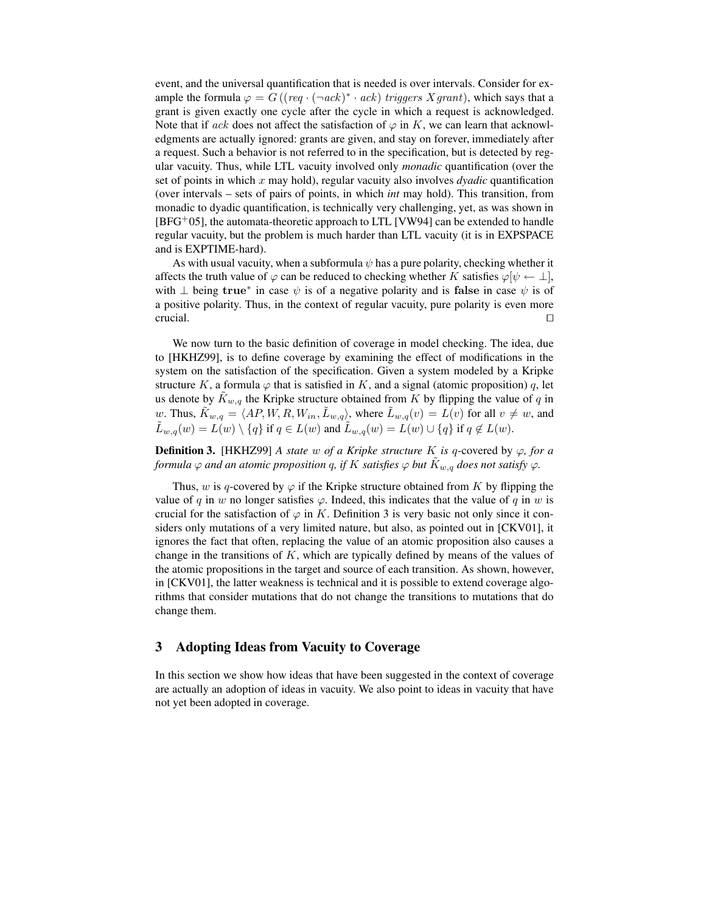event, and the universal quantification that is needed is over intervals. Consider for example the formula  $\varphi = G((req \cdot (\neg \textit{ack})^* \cdot \textit{ack}) \textit{triggers } X \textit{grant})$ , which says that a grant is given exactly one cycle after the cycle in which a request is acknowledged. Note that if ack does not affect the satisfaction of  $\varphi$  in K, we can learn that acknowledgments are actually ignored: grants are given, and stay on forever, immediately after a request. Such a behavior is not referred to in the specification, but is detected by regular vacuity. Thus, while LTL vacuity involved only *monadic* quantification (over the set of points in which x may hold), regular vacuity also involves *dyadic* quantification (over intervals – sets of pairs of points, in which *int* may hold). This transition, from monadic to dyadic quantification, is technically very challenging, yet, as was shown in  $[BFG<sup>+</sup>05]$ , the automata-theoretic approach to LTL [VW94] can be extended to handle regular vacuity, but the problem is much harder than LTL vacuity (it is in EXPSPACE and is EXPTIME-hard).

As with usual vacuity, when a subformula  $\psi$  has a pure polarity, checking whether it affects the truth value of  $\varphi$  can be reduced to checking whether K satisfies  $\varphi[\psi \leftarrow \bot]$ , with  $\perp$  being true<sup>\*</sup> in case  $\psi$  is of a negative polarity and is false in case  $\psi$  is of a positive polarity. Thus, in the context of regular vacuity, pure polarity is even more crucial.  $\Box$ 

We now turn to the basic definition of coverage in model checking. The idea, due to [HKHZ99], is to define coverage by examining the effect of modifications in the system on the satisfaction of the specification. Given a system modeled by a Kripke structure K, a formula  $\varphi$  that is satisfied in K, and a signal (atomic proposition) q, let us denote by  $K_{w,q}$  the Kripke structure obtained from K by flipping the value of q in w. Thus,  $\tilde{K}_{w,q} = \langle AP, W, R, W_{in}, \tilde{L}_{w,q} \rangle$ , where  $\tilde{L}_{w,q}(v) = L(v)$  for all  $v \neq w$ , and  $\tilde{L}_{w,q}(w) = L(w) \setminus \{q\}$  if  $q \in L(w)$  and  $\tilde{L}_{w,q}(w) = L(w) \cup \{q\}$  if  $q \notin L(w)$ .

**Definition 3.** [HKHZ99] *A state* w *of a Kripke structure K is* q-covered by  $\varphi$ *, for a formula*  $\varphi$  *and an atomic proposition* q, *if* K *satisfies*  $\varphi$  *but*  $K_{w,q}$  *does not satisfy*  $\varphi$ *.* 

Thus, w is q-covered by  $\varphi$  if the Kripke structure obtained from K by flipping the value of q in w no longer satisfies  $\varphi$ . Indeed, this indicates that the value of q in w is crucial for the satisfaction of  $\varphi$  in K. Definition 3 is very basic not only since it considers only mutations of a very limited nature, but also, as pointed out in [CKV01], it ignores the fact that often, replacing the value of an atomic proposition also causes a change in the transitions of  $K$ , which are typically defined by means of the values of the atomic propositions in the target and source of each transition. As shown, however, in [CKV01], the latter weakness is technical and it is possible to extend coverage algorithms that consider mutations that do not change the transitions to mutations that do change them.

## **3 Adopting Ideas from Vacuity to Coverage**

In this section we show how ideas that have been suggested in the context of coverage are actually an adoption of ideas in vacuity. We also point to ideas in vacuity that have not yet been adopted in coverage.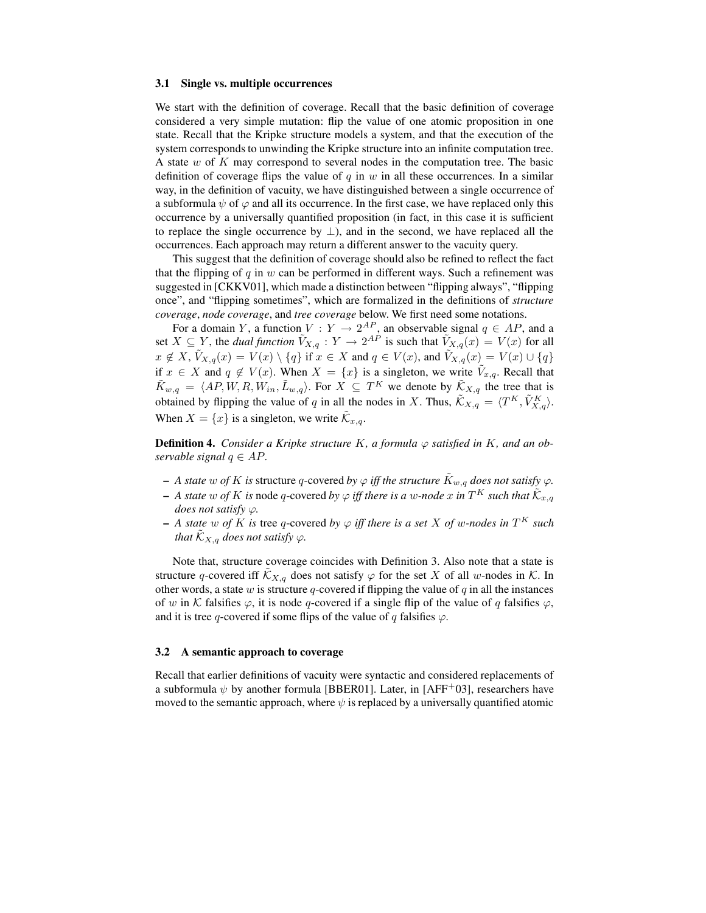#### **3.1 Single vs. multiple occurrences**

We start with the definition of coverage. Recall that the basic definition of coverage considered a very simple mutation: flip the value of one atomic proposition in one state. Recall that the Kripke structure models a system, and that the execution of the system corresponds to unwinding the Kripke structure into an infinite computation tree. A state  $w$  of  $K$  may correspond to several nodes in the computation tree. The basic definition of coverage flips the value of  $q$  in  $w$  in all these occurrences. In a similar way, in the definition of vacuity, we have distinguished between a single occurrence of a subformula  $\psi$  of  $\varphi$  and all its occurrence. In the first case, we have replaced only this occurrence by a universally quantified proposition (in fact, in this case it is sufficient to replace the single occurrence by  $\perp$ ), and in the second, we have replaced all the occurrences. Each approach may return a different answer to the vacuity query.

This suggest that the definition of coverage should also be refined to reflect the fact that the flipping of  $q$  in  $w$  can be performed in different ways. Such a refinement was suggested in [CKKV01], which made a distinction between "flipping always", "flipping once", and "flipping sometimes", which are formalized in the definitions of *structure coverage*, *node coverage*, and *tree coverage* below. We first need some notations.

For a domain Y, a function  $V: Y \to 2^{AP}$ , an observable signal  $q \in AP$ , and a set  $X \subseteq Y$ , the *dual function*  $\tilde{V}_{X,q} : Y \to 2^{AP}$  is such that  $\tilde{V}_{X,q}(x) = V(x)$  for all  $x \notin X$ ,  $\tilde{V}_{X,q}(x) = V(x) \setminus \{q\}$  if  $x \in X$  and  $q \in V(x)$ , and  $\tilde{V}_{X,q}(x) = V(x) \cup \{q\}$ if  $x \in X$  and  $q \notin V(x)$ . When  $X = \{x\}$  is a singleton, we write  $\tilde{V}_{x,q}$ . Recall that  $\tilde{K}_{w,q} = \langle AP, W, R, W_{in}, \tilde{L}_{w,q} \rangle$ . For  $X \subseteq T^K$  we denote by  $\tilde{\mathcal{K}}_{X,q}$  the tree that is obtained by flipping the value of q in all the nodes in X. Thus,  $\tilde{\mathcal{K}}_{X,q} = \langle T^K, \tilde{V}^K_{X,q} \rangle$ . When  $X = \{x\}$  is a singleton, we write  $\tilde{\mathcal{K}}_{x,q}$ .

**Definition 4.** *Consider a Kripke structure K, a formula*  $\varphi$  *satisfied in K, and an observable signal*  $q \in AP$ *.* 

- $-$  *A state* w *of* K *is* structure q-covered by  $\varphi$  *iff the structure*  $\tilde{K}_{w,q}$  *does not satisfy*  $\varphi$ *.*
- $-$  *A state w of K is node q-covered by*  $\varphi$  *iff there is a w-node x in*  $T^K$  *such that*  $\tilde{\mathcal{K}}_{x,q}$ *does not satisfy* ϕ*.*
- $-$  *A state* w of *K is* tree q-covered by  $\varphi$  *iff there is a set X* of w-nodes in  $T^K$  *such that*  $K_{X,q}$  *does not satisfy*  $\varphi$ *.*

Note that, structure coverage coincides with Definition 3. Also note that a state is structure q-covered iff  $\mathcal{K}_{X,q}$  does not satisfy  $\varphi$  for the set X of all w-nodes in K. In other words, a state w is structure q-covered if flipping the value of  $q$  in all the instances of w in K falsifies  $\varphi$ , it is node q-covered if a single flip of the value of q falsifies  $\varphi$ , and it is tree q-covered if some flips of the value of q falsifies  $\varphi$ .

#### **3.2 A semantic approach to coverage**

Recall that earlier definitions of vacuity were syntactic and considered replacements of a subformula  $\psi$  by another formula [BBER01]. Later, in [AFF+03], researchers have moved to the semantic approach, where  $\psi$  is replaced by a universally quantified atomic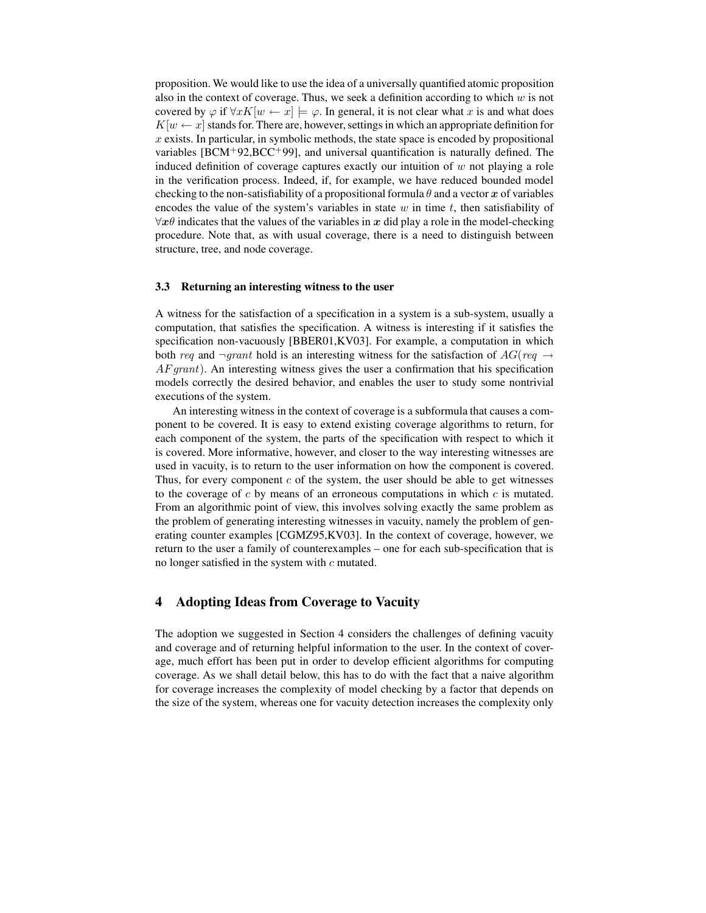proposition. We would like to use the idea of a universally quantified atomic proposition also in the context of coverage. Thus, we seek a definition according to which  $w$  is not covered by  $\varphi$  if  $\forall x K[w \leftarrow x] \models \varphi$ . In general, it is not clear what x is and what does  $K[w \leftarrow x]$  stands for. There are, however, settings in which an appropriate definition for  $x$  exists. In particular, in symbolic methods, the state space is encoded by propositional variables [BCM+92,BCC+99], and universal quantification is naturally defined. The induced definition of coverage captures exactly our intuition of  $w$  not playing a role in the verification process. Indeed, if, for example, we have reduced bounded model checking to the non-satisfiability of a propositional formula  $\theta$  and a vector x of variables encodes the value of the system's variables in state  $w$  in time  $t$ , then satisfiability of  $\forall x\theta$  indicates that the values of the variables in x did play a role in the model-checking procedure. Note that, as with usual coverage, there is a need to distinguish between structure, tree, and node coverage.

#### **3.3 Returning an interesting witness to the user**

A witness for the satisfaction of a specification in a system is a sub-system, usually a computation, that satisfies the specification. A witness is interesting if it satisfies the specification non-vacuously [BBER01,KV03]. For example, a computation in which both req and  $\neg grant$  hold is an interesting witness for the satisfaction of  $AG(req \rightarrow$  $AF grant)$ . An interesting witness gives the user a confirmation that his specification models correctly the desired behavior, and enables the user to study some nontrivial executions of the system.

An interesting witness in the context of coverage is a subformula that causes a component to be covered. It is easy to extend existing coverage algorithms to return, for each component of the system, the parts of the specification with respect to which it is covered. More informative, however, and closer to the way interesting witnesses are used in vacuity, is to return to the user information on how the component is covered. Thus, for every component  $c$  of the system, the user should be able to get witnesses to the coverage of  $c$  by means of an erroneous computations in which  $c$  is mutated. From an algorithmic point of view, this involves solving exactly the same problem as the problem of generating interesting witnesses in vacuity, namely the problem of generating counter examples [CGMZ95,KV03]. In the context of coverage, however, we return to the user a family of counterexamples – one for each sub-specification that is no longer satisfied in the system with  $c$  mutated.

### **4 Adopting Ideas from Coverage to Vacuity**

The adoption we suggested in Section 4 considers the challenges of defining vacuity and coverage and of returning helpful information to the user. In the context of coverage, much effort has been put in order to develop efficient algorithms for computing coverage. As we shall detail below, this has to do with the fact that a naive algorithm for coverage increases the complexity of model checking by a factor that depends on the size of the system, whereas one for vacuity detection increases the complexity only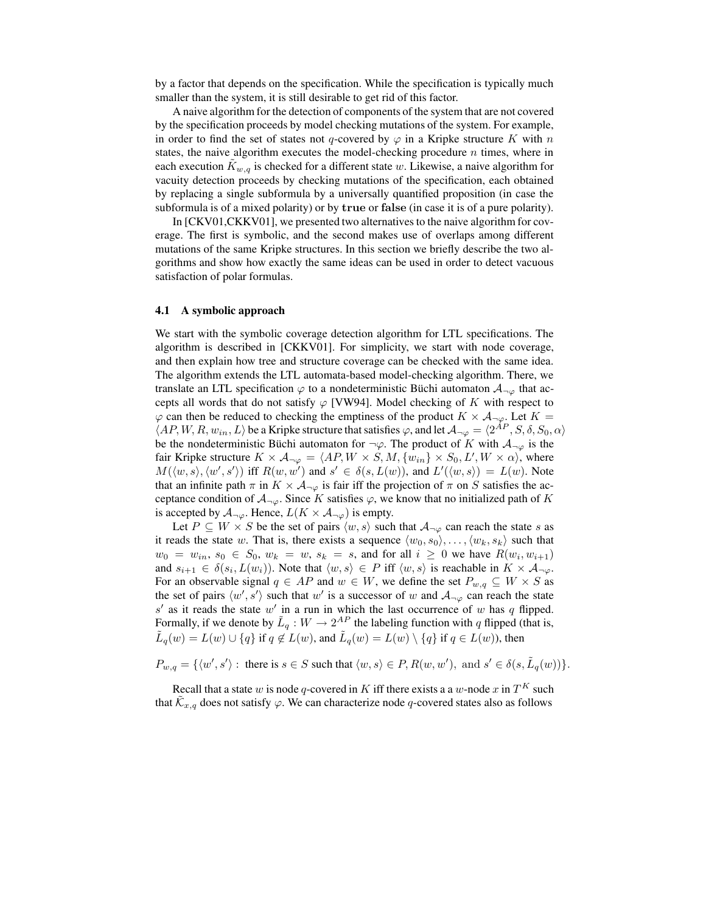by a factor that depends on the specification. While the specification is typically much smaller than the system, it is still desirable to get rid of this factor.

A naive algorithm for the detection of components of the system that are not covered by the specification proceeds by model checking mutations of the system. For example, in order to find the set of states not q-covered by  $\varphi$  in a Kripke structure K with n states, the naive algorithm executes the model-checking procedure  $n$  times, where in each execution  $K_{w,q}$  is checked for a different state w. Likewise, a naive algorithm for vacuity detection proceeds by checking mutations of the specification, each obtained by replacing a single subformula by a universally quantified proposition (in case the subformula is of a mixed polarity) or by true or false (in case it is of a pure polarity).

In [CKV01, CKKV01], we presented two alternatives to the naive algorithm for coverage. The first is symbolic, and the second makes use of overlaps among different mutations of the same Kripke structures. In this section we briefly describe the two algorithms and show how exactly the same ideas can be used in order to detect vacuous satisfaction of polar formulas.

#### **4.1 A symbolic approach**

We start with the symbolic coverage detection algorithm for LTL specifications. The algorithm is described in [CKKV01]. For simplicity, we start with node coverage, and then explain how tree and structure coverage can be checked with the same idea. The algorithm extends the LTL automata-based model-checking algorithm. There, we translate an LTL specification  $\varphi$  to a nondeterministic Büchi automaton  $\mathcal{A}_{\neg\varphi}$  that accepts all words that do not satisfy  $\varphi$  [VW94]. Model checking of K with respect to  $\varphi$  can then be reduced to checking the emptiness of the product  $K \times A_{\neg \varphi}$ . Let  $K =$  $\langle AP, W, R, w_{in}, L \rangle$  be a Kripke structure that satisfies  $\varphi$ , and let  $\mathcal{A}_{\neg\varphi} = \langle 2^{AP}, S, \delta, S_0, \alpha \rangle$ be the nondeterministic Büchi automaton for  $\neg \varphi$ . The product of K with  $\mathcal{A}_{\neg \varphi}$  is the fair Kripke structure  $K \times A_{\neg \varphi} = \langle AP, W \times S, M, \{w_{in}\} \times S_0, L', W \times \alpha \rangle$ , where  $M(\langle w, s \rangle, \langle w', s' \rangle)$  iff  $R(w, w')$  and  $s' \in \delta(s, L(w))$ , and  $L'(\langle w, s \rangle) = L(w)$ . Note that an infinite path  $\pi$  in  $K \times A_{\neg \varphi}$  is fair iff the projection of  $\pi$  on S satisfies the acceptance condition of  $A_{\neg\varphi}$ . Since K satisfies  $\varphi$ , we know that no initialized path of K is accepted by  $\mathcal{A}_{\neg \varphi}$ . Hence,  $L(K \times \mathcal{A}_{\neg \varphi})$  is empty.

Let  $P \subseteq W \times S$  be the set of pairs  $\langle w, s \rangle$  such that  $\mathcal{A}_{\neg \varphi}$  can reach the state s as it reads the state w. That is, there exists a sequence  $\langle w_0, s_0 \rangle, \ldots, \langle w_k, s_k \rangle$  such that  $w_0 = w_{in}, s_0 \in S_0, w_k = w, s_k = s$ , and for all  $i \geq 0$  we have  $R(w_i, w_{i+1})$ and  $s_{i+1} \in \delta(s_i, L(w_i))$ . Note that  $\langle w, s \rangle \in P$  iff  $\langle w, s \rangle$  is reachable in  $K \times \mathcal{A}_{\neg \varphi}$ . For an observable signal  $q \in AP$  and  $w \in W$ , we define the set  $P_{w,q} \subseteq W \times S$  as the set of pairs  $\langle w', s' \rangle$  such that w' is a successor of w and  $\mathcal{A}_{\neg \varphi}$  can reach the state  $s'$  as it reads the state  $w'$  in a run in which the last occurrence of w has q flipped. Formally, if we denote by  $\tilde{L}_q : W \to 2^{AP}$  the labeling function with q flipped (that is,  $\tilde{L}_q(w) = L(w) \cup \{q\}$  if  $q \notin L(w)$ , and  $\tilde{L}_q(w) = L(w) \setminus \{q\}$  if  $q \in L(w)$ ), then

 $P_{w,q} = \{ \langle w', s' \rangle : \text{ there is } s \in S \text{ such that } \langle w, s \rangle \in P, R(w, w'), \text{ and } s' \in \delta(s, \tilde{L}_q(w)) \}.$ 

Recall that a state w is node q-covered in K iff there exists a a w-node x in  $T^K$  such that  $\tilde{\mathcal{K}}_{x,q}$  does not satisfy  $\varphi$ . We can characterize node q-covered states also as follows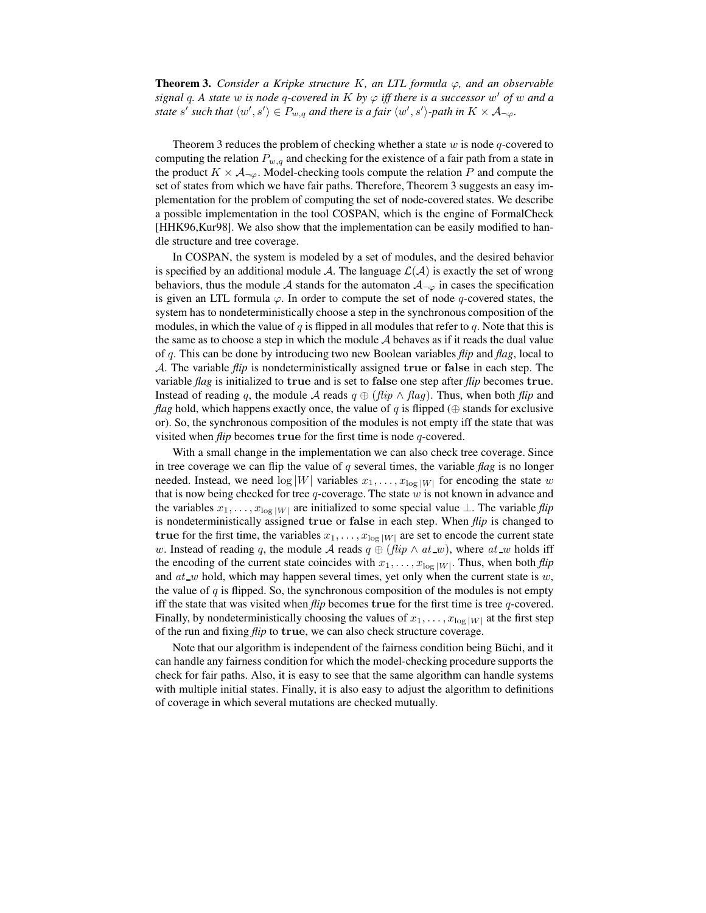**Theorem 3.** *Consider a Kripke structure K, an LTL formula*  $\varphi$ *, and an observable signal*  $q$ *. A state*  $w$  *is node*  $q$ *-covered in*  $K$  *by*  $\varphi$  *iff there is a successor*  $w'$  *of*  $w$  *and a state* s' such that  $\langle w', s' \rangle \in P_{w,q}$  and there is a fair  $\langle w', s' \rangle$ -path in  $K \times A_{\neg \varphi}$ .

Theorem 3 reduces the problem of checking whether a state  $w$  is node q-covered to computing the relation  $P_{w,q}$  and checking for the existence of a fair path from a state in the product  $K \times A_{\neg \varphi}$ . Model-checking tools compute the relation P and compute the set of states from which we have fair paths. Therefore, Theorem 3 suggests an easy implementation for the problem of computing the set of node-covered states. We describe a possible implementation in the tool COSPAN, which is the engine of FormalCheck [HHK96,Kur98]. We also show that the implementation can be easily modified to handle structure and tree coverage.

In COSPAN, the system is modeled by a set of modules, and the desired behavior is specified by an additional module A. The language  $\mathcal{L}(\mathcal{A})$  is exactly the set of wrong behaviors, thus the module A stands for the automaton  $A_{\neg\varphi}$  in cases the specification is given an LTL formula  $\varphi$ . In order to compute the set of node q-covered states, the system has to nondeterministically choose a step in the synchronous composition of the modules, in which the value of q is flipped in all modules that refer to q. Note that this is the same as to choose a step in which the module  $A$  behaves as if it reads the dual value of q. This can be done by introducing two new Boolean variables *flip* and *flag*, local to A. The variable *flip* is nondeterministically assigned true or false in each step. The variable *flag* is initialized to true and is set to false one step after *flip* becomes true. Instead of reading q, the module A reads  $q \oplus (flip \wedge flag)$ . Thus, when both *flip* and *flag* hold, which happens exactly once, the value of q is flipped ( $\oplus$  stands for exclusive or). So, the synchronous composition of the modules is not empty iff the state that was visited when *flip* becomes true for the first time is node q-covered.

With a small change in the implementation we can also check tree coverage. Since in tree coverage we can flip the value of q several times, the variable *flag* is no longer needed. Instead, we need  $\log |W|$  variables  $x_1, \ldots, x_{\log |W|}$  for encoding the state w that is now being checked for tree  $q$ -coverage. The state  $w$  is not known in advance and the variables  $x_1, \ldots, x_{\log |W|}$  are initialized to some special value ⊥. The variable *flip* is nondeterministically assigned true or false in each step. When *flip* is changed to true for the first time, the variables  $x_1, \ldots, x_{\log |W|}$  are set to encode the current state w. Instead of reading q, the module A reads  $q \oplus (flip \wedge at_w)$ , where  $at_w$  holds iff the encoding of the current state coincides with  $x_1, \ldots, x_{\log |W|}$ . Thus, when both *flip* and  $at_w$  hold, which may happen several times, yet only when the current state is  $w$ , the value of  $q$  is flipped. So, the synchronous composition of the modules is not empty iff the state that was visited when *flip* becomes true for the first time is tree q-covered. Finally, by nondeterministically choosing the values of  $x_1, \ldots, x_{\log |W|}$  at the first step of the run and fixing *flip* to true, we can also check structure coverage.

Note that our algorithm is independent of the fairness condition being Büchi, and it can handle any fairness condition for which the model-checking procedure supports the check for fair paths. Also, it is easy to see that the same algorithm can handle systems with multiple initial states. Finally, it is also easy to adjust the algorithm to definitions of coverage in which several mutations are checked mutually.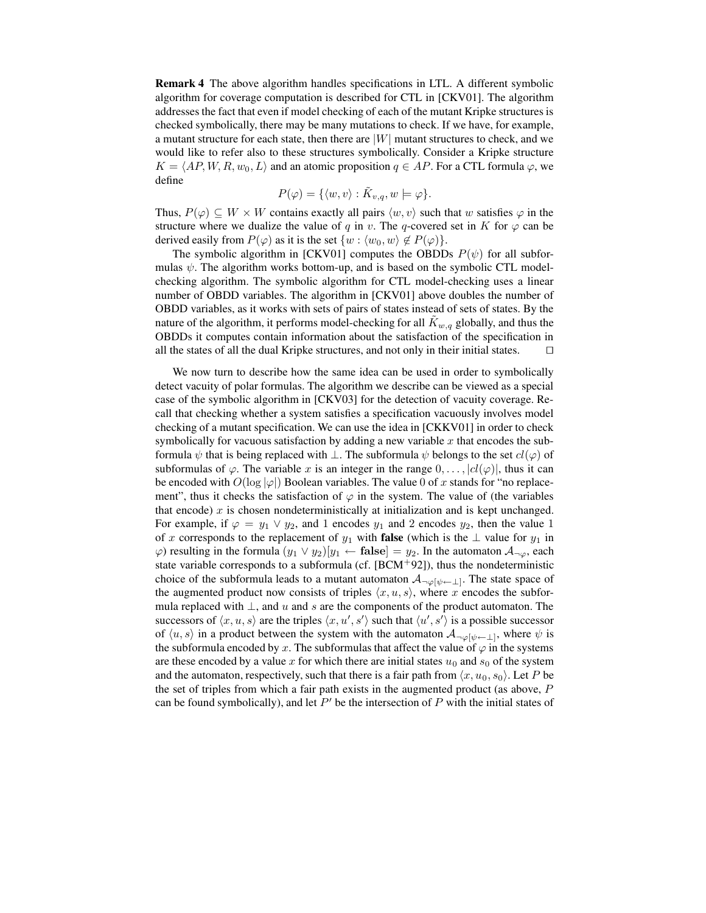**Remark 4** The above algorithm handles specifications in LTL. A different symbolic algorithm for coverage computation is described for CTL in [CKV01]. The algorithm addresses the fact that even if model checking of each of the mutant Kripke structures is checked symbolically, there may be many mutations to check. If we have, for example, a mutant structure for each state, then there are  $|W|$  mutant structures to check, and we would like to refer also to these structures symbolically. Consider a Kripke structure  $K = \langle AP, W, R, w_0, L \rangle$  and an atomic proposition  $q \in AP$ . For a CTL formula  $\varphi$ , we define

$$
P(\varphi) = \{ \langle w, v \rangle : \tilde{K}_{v,q}, w \models \varphi \}.
$$

Thus,  $P(\varphi) \subseteq W \times W$  contains exactly all pairs  $\langle w, v \rangle$  such that w satisfies  $\varphi$  in the structure where we dualize the value of q in v. The q-covered set in K for  $\varphi$  can be derived easily from  $P(\varphi)$  as it is the set  $\{w : \langle w_0, w \rangle \notin P(\varphi)\}.$ 

The symbolic algorithm in [CKV01] computes the OBDDs  $P(\psi)$  for all subformulas  $\psi$ . The algorithm works bottom-up, and is based on the symbolic CTL modelchecking algorithm. The symbolic algorithm for CTL model-checking uses a linear number of OBDD variables. The algorithm in [CKV01] above doubles the number of OBDD variables, as it works with sets of pairs of states instead of sets of states. By the nature of the algorithm, it performs model-checking for all  $K_{w,q}$  globally, and thus the OBDDs it computes contain information about the satisfaction of the specification in all the states of all the dual Kripke structures, and not only in their initial states.  $\Box$ 

We now turn to describe how the same idea can be used in order to symbolically detect vacuity of polar formulas. The algorithm we describe can be viewed as a special case of the symbolic algorithm in [CKV03] for the detection of vacuity coverage. Recall that checking whether a system satisfies a specification vacuously involves model checking of a mutant specification. We can use the idea in [CKKV01] in order to check symbolically for vacuous satisfaction by adding a new variable  $x$  that encodes the subformula  $\psi$  that is being replaced with  $\bot$ . The subformula  $\psi$  belongs to the set  $cl(\varphi)$  of subformulas of  $\varphi$ . The variable x is an integer in the range  $0, \ldots, |cl(\varphi)|$ , thus it can be encoded with  $O(\log |\varphi|)$  Boolean variables. The value 0 of x stands for "no replacement", thus it checks the satisfaction of  $\varphi$  in the system. The value of (the variables that encode)  $x$  is chosen nondeterministically at initialization and is kept unchanged. For example, if  $\varphi = y_1 \vee y_2$ , and 1 encodes  $y_1$  and 2 encodes  $y_2$ , then the value 1 of x corresponds to the replacement of  $y_1$  with **false** (which is the  $\perp$  value for  $y_1$  in  $\varphi$ ) resulting in the formula  $(y_1 \vee y_2)[y_1 \leftarrow \textbf{false}] = y_2$ . In the automaton  $\mathcal{A}_{\neg \varphi}$ , each state variable corresponds to a subformula (cf.  $[BCM<sup>+</sup>92]$ ), thus the nondeterministic choice of the subformula leads to a mutant automaton  $\mathcal{A}_{\neg \varphi[\psi \leftarrow \bot]}$ . The state space of the augmented product now consists of triples  $\langle x, u, s \rangle$ , where x encodes the subformula replaced with  $\perp$ , and u and s are the components of the product automaton. The successors of  $\langle x, u, s \rangle$  are the triples  $\langle x, u', s' \rangle$  such that  $\langle u', s' \rangle$  is a possible successor of  $\langle u, s \rangle$  in a product between the system with the automaton  $\mathcal{A}_{\neg \varphi[\psi \leftarrow \bot]}$ , where  $\psi$  is the subformula encoded by x. The subformulas that affect the value of  $\varphi$  in the systems are these encoded by a value x for which there are initial states  $u_0$  and  $s_0$  of the system and the automaton, respectively, such that there is a fair path from  $\langle x, u_0, s_0 \rangle$ . Let P be the set of triples from which a fair path exists in the augmented product (as above,  $P$ can be found symbolically), and let  $P'$  be the intersection of  $P$  with the initial states of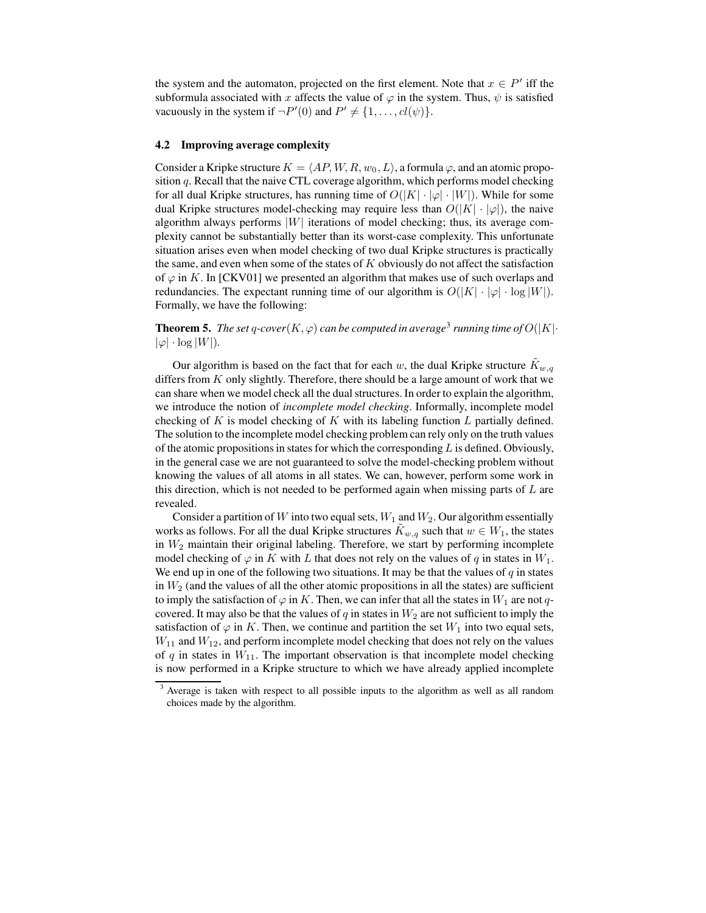the system and the automaton, projected on the first element. Note that  $x \in P'$  iff the subformula associated with x affects the value of  $\varphi$  in the system. Thus,  $\psi$  is satisfied vacuously in the system if  $\neg P'(0)$  and  $P' \neq \{1, \ldots, cl(\psi)\}.$ 

#### **4.2 Improving average complexity**

Consider a Kripke structure  $K = \langle AP, W, R, w_0, L \rangle$ , a formula  $\varphi$ , and an atomic proposition q. Recall that the naive CTL coverage algorithm, which performs model checking for all dual Kripke structures, has running time of  $O(|K| \cdot |\varphi| \cdot |W|)$ . While for some dual Kripke structures model-checking may require less than  $O(|K| \cdot |\varphi|)$ , the naive algorithm always performs  $|W|$  iterations of model checking; thus, its average complexity cannot be substantially better than its worst-case complexity. This unfortunate situation arises even when model checking of two dual Kripke structures is practically the same, and even when some of the states of  $K$  obviously do not affect the satisfaction of  $\varphi$  in K. In [CKV01] we presented an algorithm that makes use of such overlaps and redundancies. The expectant running time of our algorithm is  $O(|K| \cdot |\varphi| \cdot \log |W|)$ . Formally, we have the following:

**Theorem 5.** The set q-cover $(K,\varphi)$  can be computed in average<sup>3</sup> running time of  $O(|K| \cdot$  $|\varphi| \cdot \log |W|$ ).

Our algorithm is based on the fact that for each w, the dual Kripke structure  $K_{w,q}$ differs from  $K$  only slightly. Therefore, there should be a large amount of work that we can share when we model check all the dualstructures. In order to explain the algorithm, we introduce the notion of *incomplete model checking*. Informally, incomplete model checking of K is model checking of K with its labeling function  $L$  partially defined. The solution to the incomplete model checking problem can rely only on the truth values of the atomic propositions in states for which the corresponding  $L$  is defined. Obviously, in the general case we are not guaranteed to solve the model-checking problem without knowing the values of all atoms in all states. We can, however, perform some work in this direction, which is not needed to be performed again when missing parts of  $L$  are revealed.

Consider a partition of W into two equal sets,  $W_1$  and  $W_2$ . Our algorithm essentially works as follows. For all the dual Kripke structures  $K_{w,q}$  such that  $w \in W_1$ , the states in  $W_2$  maintain their original labeling. Therefore, we start by performing incomplete model checking of  $\varphi$  in K with L that does not rely on the values of q in states in  $W_1$ . We end up in one of the following two situations. It may be that the values of  $q$  in states in  $W<sub>2</sub>$  (and the values of all the other atomic propositions in all the states) are sufficient to imply the satisfaction of  $\varphi$  in K. Then, we can infer that all the states in  $W_1$  are not qcovered. It may also be that the values of q in states in  $W_2$  are not sufficient to imply the satisfaction of  $\varphi$  in K. Then, we continue and partition the set  $W_1$  into two equal sets,  $W_{11}$  and  $W_{12}$ , and perform incomplete model checking that does not rely on the values of  $q$  in states in  $W_{11}$ . The important observation is that incomplete model checking is now performed in a Kripke structure to which we have already applied incomplete

<sup>&</sup>lt;sup>3</sup> Average is taken with respect to all possible inputs to the algorithm as well as all random choices made by the algorithm.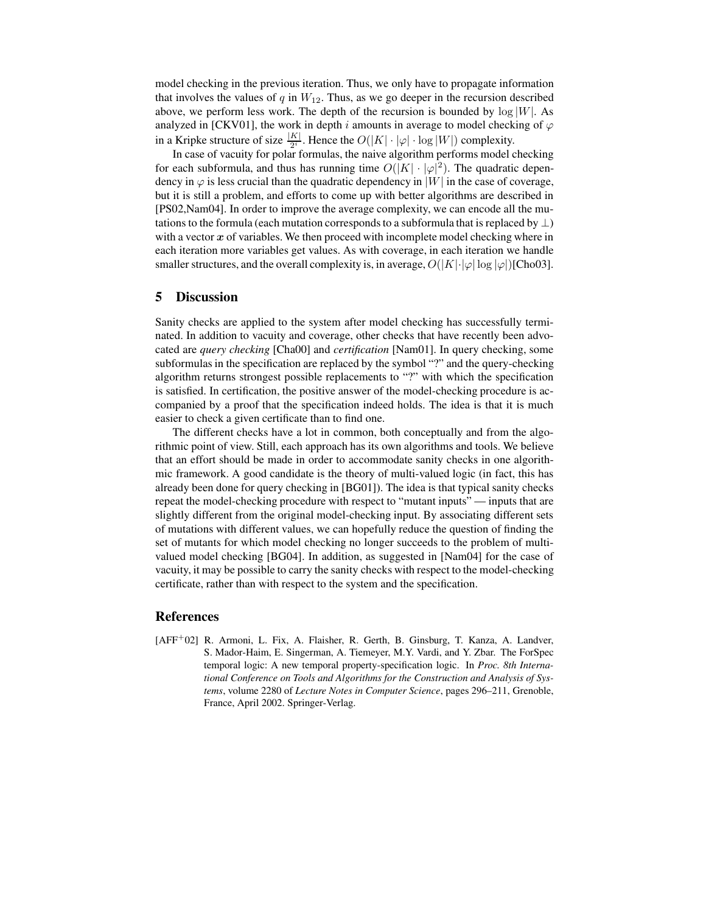model checking in the previous iteration. Thus, we only have to propagate information that involves the values of q in  $W_{12}$ . Thus, as we go deeper in the recursion described above, we perform less work. The depth of the recursion is bounded by  $\log |W|$ . As analyzed in [CKV01], the work in depth i amounts in average to model checking of  $\varphi$ in a Kripke structure of size  $\frac{|K|}{2^i}$ . Hence the  $O(|K| \cdot |\varphi| \cdot \log |W|)$  complexity.

In case of vacuity for polar formulas, the naive algorithm performs model checking for each subformula, and thus has running time  $O(|K| \cdot |\varphi|^2)$ . The quadratic dependency in  $\varphi$  is less crucial than the quadratic dependency in  $|W|$  in the case of coverage, but it is still a problem, and efforts to come up with better algorithms are described in [PS02,Nam04]. In order to improve the average complexity, we can encode all the mutations to the formula (each mutation corresponds to a subformula that is replaced by  $\perp$ ) with a vector  $x$  of variables. We then proceed with incomplete model checking where in each iteration more variables get values. As with coverage, in each iteration we handle smaller structures, and the overall complexity is, in average,  $O(|K|\cdot|\varphi|\log|\varphi|)$ [Cho03].

### **5 Discussion**

Sanity checks are applied to the system after model checking has successfully terminated. In addition to vacuity and coverage, other checks that have recently been advocated are *query checking* [Cha00] and *certification* [Nam01]. In query checking, some subformulas in the specification are replaced by the symbol "?" and the query-checking algorithm returns strongest possible replacements to "?" with which the specification is satisfied. In certification, the positive answer of the model-checking procedure is accompanied by a proof that the specification indeed holds. The idea is that it is much easier to check a given certificate than to find one.

The different checks have a lot in common, both conceptually and from the algorithmic point of view. Still, each approach has its own algorithms and tools. We believe that an effort should be made in order to accommodate sanity checks in one algorithmic framework. A good candidate is the theory of multi-valued logic (in fact, this has already been done for query checking in [BG01]). The idea is that typical sanity checks repeat the model-checking procedure with respect to "mutant inputs" — inputs that are slightly different from the original model-checking input. By associating different sets of mutations with different values, we can hopefully reduce the question of finding the set of mutants for which model checking no longer succeeds to the problem of multivalued model checking [BG04]. In addition, as suggested in [Nam04] for the case of vacuity, it may be possible to carry the sanity checks with respect to the model-checking certificate, rather than with respect to the system and the specification.

### **References**

[AFF<sup>+</sup>02] R. Armoni, L. Fix, A. Flaisher, R. Gerth, B. Ginsburg, T. Kanza, A. Landver, S. Mador-Haim, E. Singerman, A. Tiemeyer, M.Y. Vardi, and Y. Zbar. The ForSpec temporal logic: A new temporal property-specification logic. In *Proc. 8th International Conference on Tools and Algorithms for the Construction and Analysis of Systems*, volume 2280 of *Lecture Notes in Computer Science*, pages 296–211, Grenoble, France, April 2002. Springer-Verlag.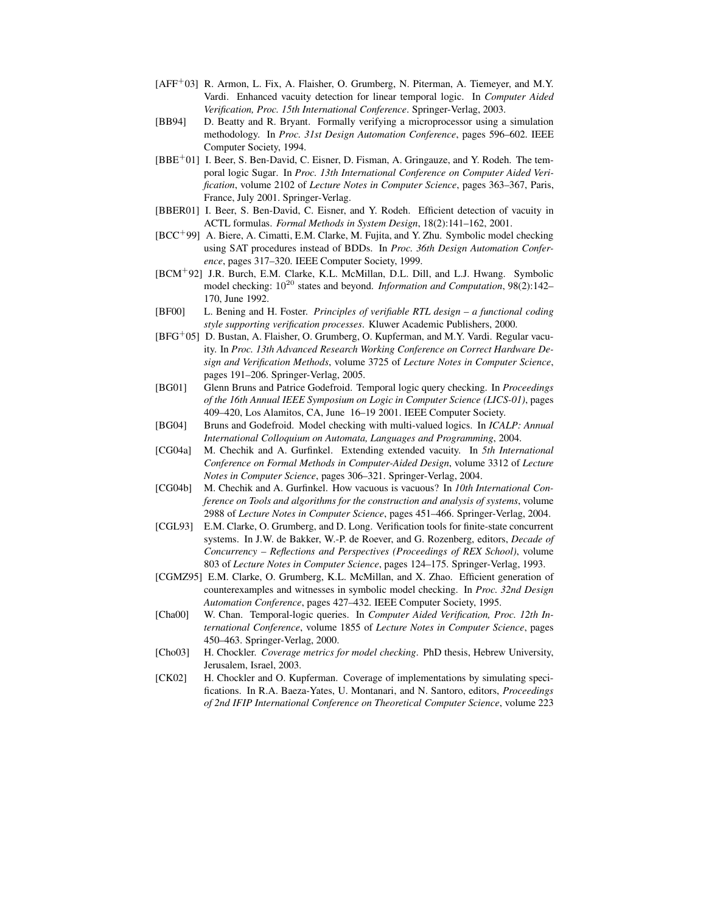- [AFF<sup>+</sup>03] R. Armon, L. Fix, A. Flaisher, O. Grumberg, N. Piterman, A. Tiemeyer, and M.Y. Vardi. Enhanced vacuity detection for linear temporal logic. In *Computer Aided Verification, Proc. 15th International Conference*. Springer-Verlag, 2003.
- [BB94] D. Beatty and R. Bryant. Formally verifying a microprocessor using a simulation methodology. In *Proc. 31st Design Automation Conference*, pages 596–602. IEEE Computer Society, 1994.
- [BBE<sup>+</sup>01] I. Beer, S. Ben-David, C. Eisner, D. Fisman, A. Gringauze, and Y. Rodeh. The temporal logic Sugar. In *Proc. 13th International Conference on Computer Aided Verification*, volume 2102 of *Lecture Notes in Computer Science*, pages 363–367, Paris, France, July 2001. Springer-Verlag.
- [BBER01] I. Beer, S. Ben-David, C. Eisner, and Y. Rodeh. Efficient detection of vacuity in ACTL formulas. *Formal Methods in System Design*, 18(2):141–162, 2001.
- [BCC<sup>+</sup>99] A. Biere, A. Cimatti, E.M. Clarke, M. Fujita, and Y. Zhu. Symbolic model checking using SAT procedures instead of BDDs. In *Proc. 36th Design Automation Conference*, pages 317–320. IEEE Computer Society, 1999.
- [BCM<sup>+</sup>92] J.R. Burch, E.M. Clarke, K.L. McMillan, D.L. Dill, and L.J. Hwang. Symbolic model checking:  $10^{20}$  states and beyond. *Information and Computation*, 98(2):142– 170, June 1992.
- [BF00] L. Bening and H. Foster. *Principles of verifiable RTL design – a functional coding style supporting verification processes*. Kluwer Academic Publishers, 2000.
- [BFG<sup>+</sup>05] D. Bustan, A. Flaisher, O. Grumberg, O. Kupferman, and M.Y. Vardi. Regular vacuity. In *Proc. 13th Advanced Research Working Conference on Correct Hardware Design and Verification Methods*, volume 3725 of *Lecture Notes in Computer Science*, pages 191–206. Springer-Verlag, 2005.
- [BG01] Glenn Bruns and Patrice Godefroid. Temporal logic query checking. In *Proceedings of the 16th Annual IEEE Symposium on Logic in Computer Science (LICS-01)*, pages 409–420, Los Alamitos, CA, June 16–19 2001. IEEE Computer Society.
- [BG04] Bruns and Godefroid. Model checking with multi-valued logics. In *ICALP: Annual International Colloquium on Automata, Languages and Programming*, 2004.
- [CG04a] M. Chechik and A. Gurfinkel. Extending extended vacuity. In *5th International Conference on Formal Methods in Computer-Aided Design*, volume 3312 of *Lecture Notes in Computer Science*, pages 306–321. Springer-Verlag, 2004.
- [CG04b] M. Chechik and A. Gurfinkel. How vacuous is vacuous? In *10th International Conference on Tools and algorithms for the construction and analysis of systems*, volume 2988 of *Lecture Notes in Computer Science*, pages 451–466. Springer-Verlag, 2004.
- [CGL93] E.M. Clarke, O. Grumberg, and D. Long. Verification tools for finite-state concurrent systems. In J.W. de Bakker, W.-P. de Roever, and G. Rozenberg, editors, *Decade of Concurrency – Reflections and Perspectives (Proceedings of REX School)*, volume 803 of *Lecture Notes in Computer Science*, pages 124–175. Springer-Verlag, 1993.
- [CGMZ95] E.M. Clarke, O. Grumberg, K.L. McMillan, and X. Zhao. Efficient generation of counterexamples and witnesses in symbolic model checking. In *Proc. 32nd Design Automation Conference*, pages 427–432. IEEE Computer Society, 1995.
- [Cha00] W. Chan. Temporal-logic queries. In *Computer Aided Verification, Proc. 12th International Conference*, volume 1855 of *Lecture Notes in Computer Science*, pages 450–463. Springer-Verlag, 2000.
- [Cho03] H. Chockler. *Coverage metrics for model checking*. PhD thesis, Hebrew University, Jerusalem, Israel, 2003.
- [CK02] H. Chockler and O. Kupferman. Coverage of implementations by simulating specifications. In R.A. Baeza-Yates, U. Montanari, and N. Santoro, editors, *Proceedings of 2nd IFIP International Conference on Theoretical Computer Science*, volume 223